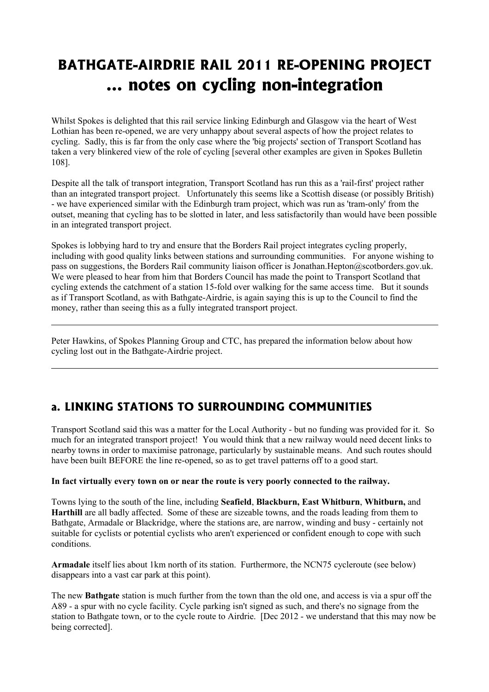## **BATHGATE-AIRDRIE RAIL 2011 RE-OPENING PROJECT … notes on cycling non-integration**

Whilst Spokes is delighted that this rail service linking Edinburgh and Glasgow via the heart of West Lothian has been re-opened, we are very unhappy about several aspects of how the project relates to cycling. Sadly, this is far from the only case where the 'big projects' section of Transport Scotland has taken a very blinkered view of the role of cycling [several other examples are given in Spokes Bulletin 108].

Despite all the talk of transport integration, Transport Scotland has run this as a 'rail-first' project rather than an integrated transport project. Unfortunately this seems like a Scottish disease (or possibly British) - we have experienced similar with the Edinburgh tram project, which was run as 'tram-only' from the outset, meaning that cycling has to be slotted in later, and less satisfactorily than would have been possible in an integrated transport project.

Spokes is lobbying hard to try and ensure that the Borders Rail project integrates cycling properly, including with good quality links between stations and surrounding communities. For anyone wishing to pass on suggestions, the Borders Rail community liaison officer is Jonathan.Hepton@scotborders.gov.uk. We were pleased to hear from him that Borders Council has made the point to Transport Scotland that cycling extends the catchment of a station 15-fold over walking for the same access time. But it sounds as if Transport Scotland, as with Bathgate-Airdrie, is again saying this is up to the Council to find the money, rather than seeing this as a fully integrated transport project.

Peter Hawkins, of Spokes Planning Group and CTC, has prepared the information below about how cycling lost out in the Bathgate-Airdrie project.

## **a. LINKING STATIONS TO SURROUNDING COMMUNITIES**

Transport Scotland said this was a matter for the Local Authority - but no funding was provided for it. So much for an integrated transport project! You would think that a new railway would need decent links to nearby towns in order to maximise patronage, particularly by sustainable means. And such routes should have been built BEFORE the line re-opened, so as to get travel patterns off to a good start.

## **In fact virtually every town on or near the route is very poorly connected to the railway.**

Towns lying to the south of the line, including **Seafield**, **Blackburn, East Whitburn**, **Whitburn,** and **Harthill** are all badly affected. Some of these are sizeable towns, and the roads leading from them to Bathgate, Armadale or Blackridge, where the stations are, are narrow, winding and busy - certainly not suitable for cyclists or potential cyclists who aren't experienced or confident enough to cope with such conditions.

**Armadale** itself lies about 1km north of its station. Furthermore, the NCN75 cycleroute (see below) disappears into a vast car park at this point).

The new **Bathgate** station is much further from the town than the old one, and access is via a spur off the A89 - a spur with no cycle facility. Cycle parking isn't signed as such, and there's no signage from the station to Bathgate town, or to the cycle route to Airdrie. [Dec 2012 - we understand that this may now be being corrected].